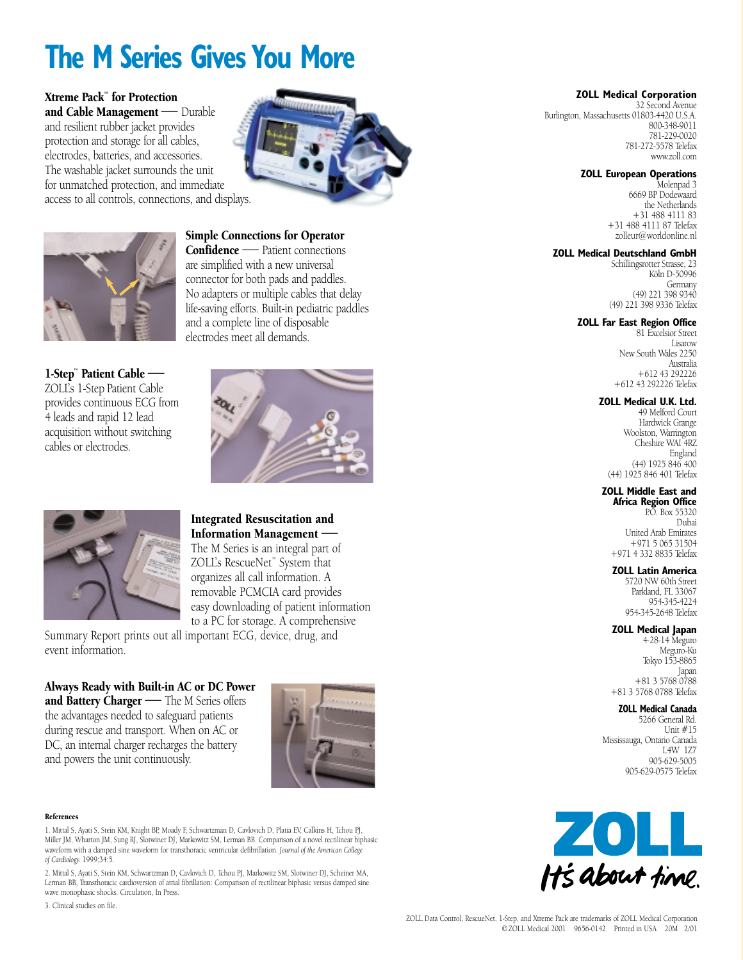# **The M Series Gives You More**

Xtreme Pack™ for Protection and Cable Management — Durable and resilient rubber jacket provides protection and storage for all cables, electrodes, batteries, and accessories. The washable jacket surrounds the unit for unmatched protection, and immediate access to all controls, connections, and displays.





1-Step™ Patient Cable — ZOLL's 1-Step Patient Cable provides continuous ECG from 4 leads and rapid 12 lead acquisition without switching cables or electrodes.

Confidence — Patient connections are simplified with a new universal connector for both pads and paddles. No adapters or multiple cables that delay life-saving efforts. Built-in pediatric paddles and a complete line of disposable electrodes meet all demands.

Simple Connections for Operator





### Integrated Resuscitation and Information Management — The M Series is an integral part of ZOLL's RescueNet™ System that

organizes all call information. A removable PCMCIA card provides easy downloading of patient information to a PC for storage. A comprehensive

Summary Report prints out all important ECG, device, drug, and event information.

Always Ready with Built-in AC or DC Power and Battery Charger - The M Series offers the advantages needed to safeguard patients during rescue and transport. When on AC or DC, an internal charger recharges the battery and powers the unit continuously.

#### References

1. Mittal S, Ayati S, Stein KM, Knight BP, Moady F, Schwartzman D, Cavlovich D, Platia EV, Calkins H, Tchou PJ, Miller JM, Wharton JM, Sung RJ, Slotwiner DJ, Markowitz SM, Lerman BB. Comparison of a novel rectilinear biphasic waveform with a damped sine waveform for transthoracic ventricular defibrillation. *Journal of the American College of Cardiology.* 1999;34:5.

2. Mittal S, Ayati S, Stein KM, Schwartzman D, Cavlovich D, Tchou PJ, Markowitz SM, Slotwiner DJ, Scheiner MA, Lerman BB, Transthoracic cardioversion of atrial fibrillation: Comparison of rectilinear biphasic versus damped sine wave monophasic shocks. Circulation, In Press.

3. Clinical studies on file.

### **ZOLL Medical Corporation**

32 Second Avenue Burlington, Massachusetts 01803-4420 U.S.A. 800-348-9011 781-229-0020 781-272-5578 Telefax www.zoll.com

### **ZOLL European Operations**

Molenpad 3 6669 BP Dodewaard the Netherlands +31 488 4111 83 +31 488 4111 87 Telefax zolleur@worldonline.nl

### **ZOLL Medical Deutschland GmbH**

Schillingsrotter Strasse, 23 Köln D-50996 Germany (49) 221 398 9340 (49) 221 398 9336 Telefax

### **ZOLL Far East Region Office**

81 Excelsior Street Lisarow New South Wales 2250 Australia +612 43 292226 +612 43 292226 Telefax

### **ZOLL Medical U.K. Ltd.**

49 Melford Court Hardwick Grange Woolston, Warrington Cheshire WAI 4RZ England (44) 1925 846 400 (44) 1925 846 401 Telefax

### **ZOLL Middle East and**

**Africa Region Office** P.O. Box 55320 Dubai United Arab Emirates +971 5 065 31504 +971 4 332 8835 Telefax

### **ZOLL Latin America**

5720 NW 60th Street Parkland, FL 33067 954-345-4224 954-345-2648 Telefax

### **ZOLL Medical Japan**

4-28-14 Meguro  $M$ e $\sigma$ uro-Ku Tokyo 153-8865 Japan +81 3 5768 0788 +81 3 5768 0788 Telefax

### **ZOLL Medical Canada**

5266 General Rd. Unit #15 Mississauga, Ontario Canada L4W 1Z7 905-629-5005 905-629-0575 Telefax

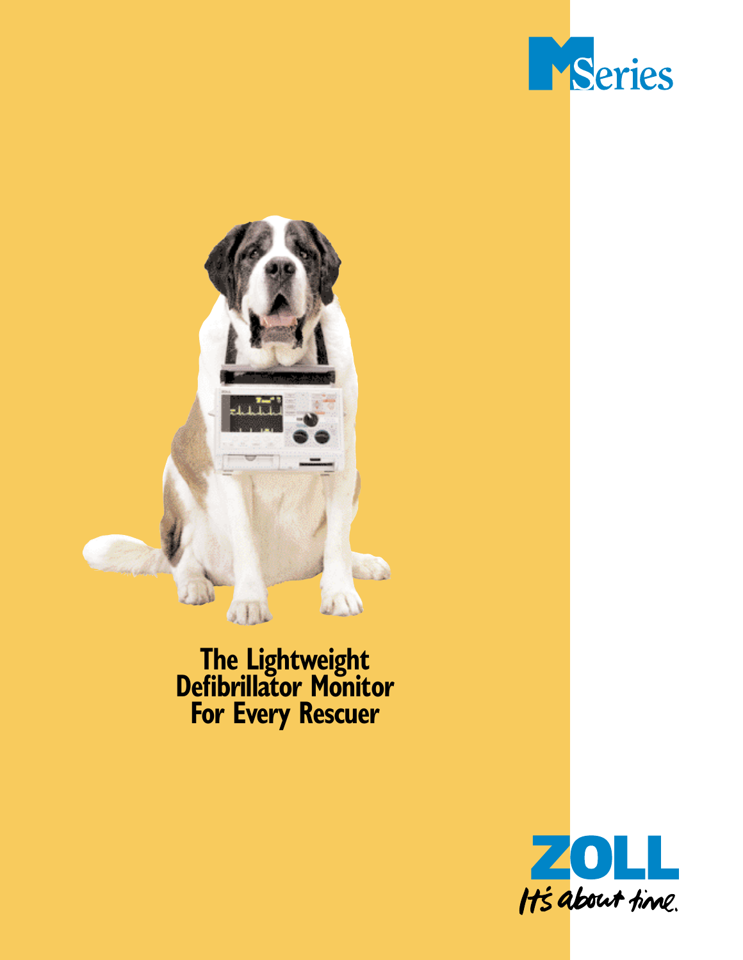



# **The Lightweight Defibrillator Monitor For Every Rescuer**

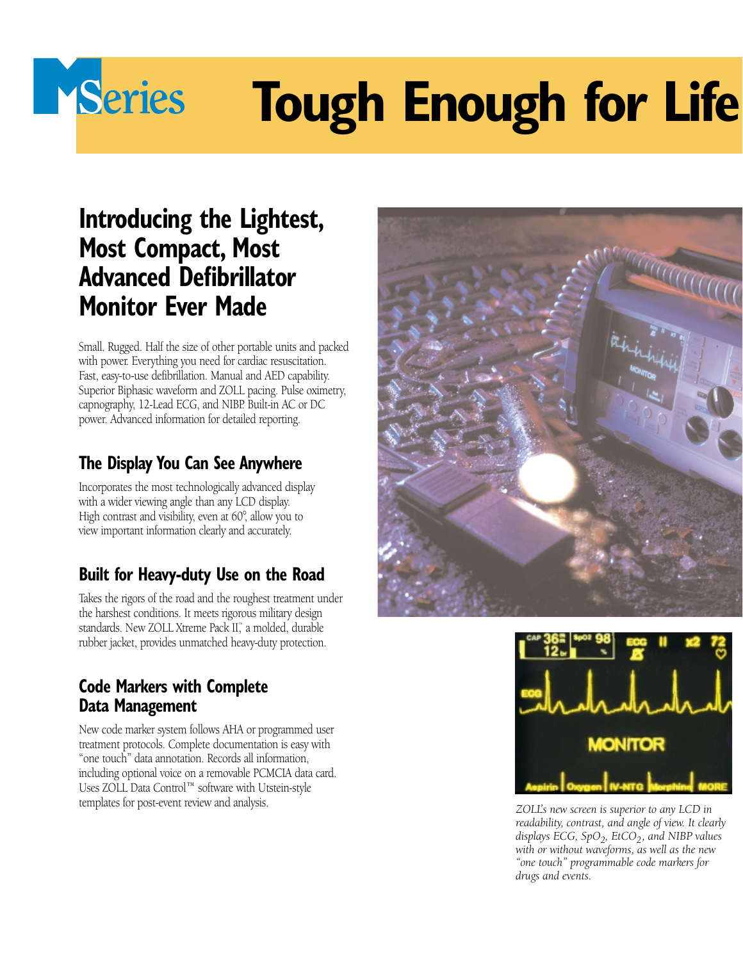# **Tough Enough for Life**

# **Introducing the Lightest, Most Compact, Most Advanced Defibrillator Monitor Ever Made**

Series

Small. Rugged. Half the size of other portable units and packed with power. Everything you need for cardiac resuscitation. Fast, easy-to-use defibrillation. Manual and AED capability. Superior Biphasic waveform and ZOLL pacing. Pulse oximetry, capnography, 12-Lead ECG, and NIBP. Built-in AC or DC power. Advanced information for detailed reporting.

# **The Display You Can See Anywhere**

Incorporates the most technologically advanced display with a wider viewing angle than any LCD display. High contrast and visibility, even at 60°, allow you to view important information clearly and accurately.

# **Built for Heavy-duty Use on the Road**

Takes the rigors of the road and the roughest treatment under the harshest conditions. It meets rigorous military design standards. New ZOLL Xtreme Pack II™, a molded, durable rubber jacket, provides unmatched heavy-duty protection.

# **Code Markers with Complete Data Management**

New code marker system follows AHA or programmed user treatment protocols. Complete documentation is easy with "one touch" data annotation. Records all information, including optional voice on a removable PCMCIA data card. Uses ZOLL Data Control™ software with Utstein-style templates for post-event review and analysis.





*ZOLL's new screen is superior to any LCD in readability, contrast, and angle of view. It clearly displays ECG, SpO<sub>2</sub>, EtCO<sub>2</sub>, and NIBP values with or without waveforms, as well as the new "one touch" programmable code markers for drugs and events.*